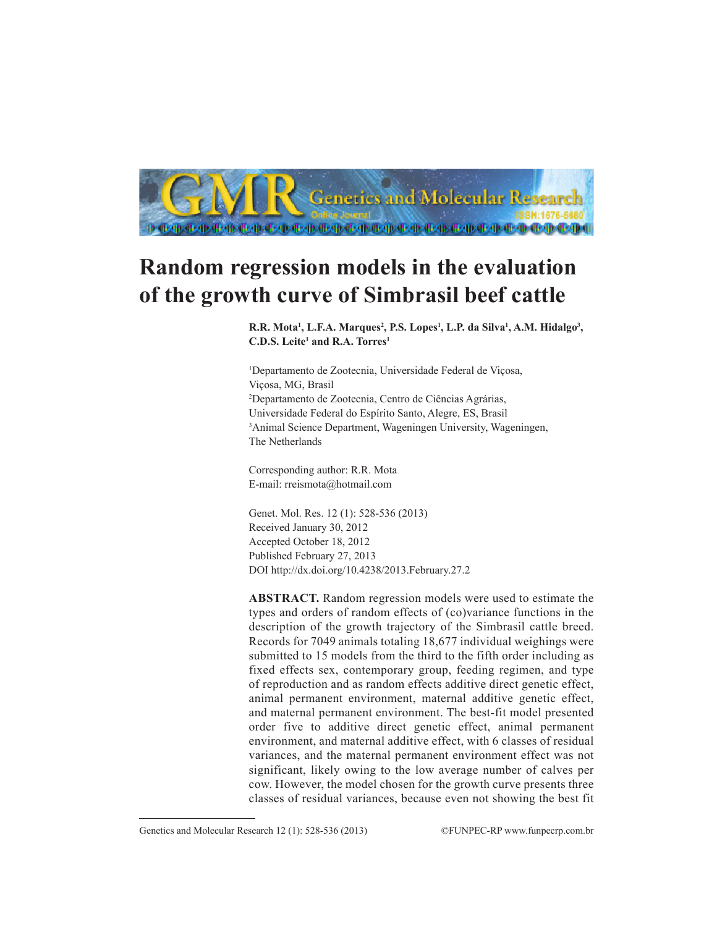

# **Random regression models in the evaluation of the growth curve of Simbrasil beef cattle**

R.R. Mota<sup>1</sup>, L.F.A. Marques<sup>2</sup>, P.S. Lopes<sup>1</sup>, L.P. da Silva<sup>1</sup>, A.M. Hidalgo<sup>3</sup>, **C.D.S. Leite1 and R.A. Torres1**

1 Departamento de Zootecnia, Universidade Federal de Viçosa, Viçosa, MG, Brasil 2 Departamento de Zootecnia, Centro de Ciências Agrárias, Universidade Federal do Espírito Santo, Alegre, ES, Brasil 3 Animal Science Department, Wageningen University, Wageningen, The Netherlands

Corresponding author: R.R. Mota E-mail: rreismota@hotmail.com

Genet. Mol. Res. 12 (1): 528-536 (2013) Received January 30, 2012 Accepted October 18, 2012 Published February 27, 2013 DOI http://dx.doi.org/10.4238/2013.February.27.2

**ABSTRACT.** Random regression models were used to estimate the types and orders of random effects of (co)variance functions in the description of the growth trajectory of the Simbrasil cattle breed. Records for 7049 animals totaling 18,677 individual weighings were submitted to 15 models from the third to the fifth order including as fixed effects sex, contemporary group, feeding regimen, and type of reproduction and as random effects additive direct genetic effect, animal permanent environment, maternal additive genetic effect, and maternal permanent environment. The best-fit model presented order five to additive direct genetic effect, animal permanent environment, and maternal additive effect, with 6 classes of residual variances, and the maternal permanent environment effect was not significant, likely owing to the low average number of calves per cow. However, the model chosen for the growth curve presents three classes of residual variances, because even not showing the best fit

Genetics and Molecular Research 12 (1): 528-536 (2013) ©FUNPEC-RP www.funpecrp.com.br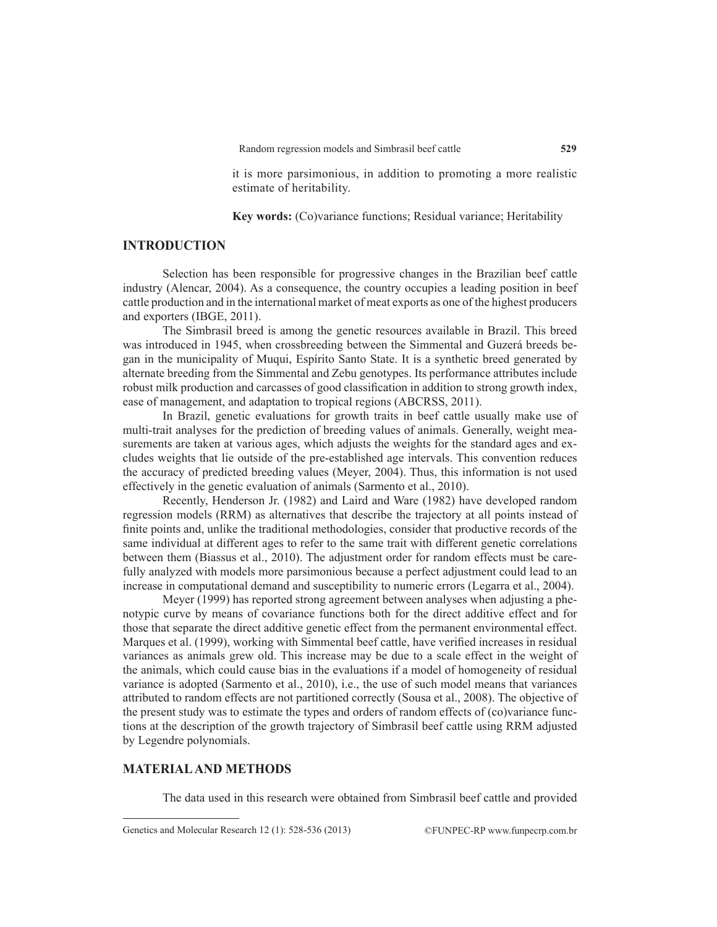it is more parsimonious, in addition to promoting a more realistic estimate of heritability.

**Key words:** (Co)variance functions; Residual variance; Heritability

## **INTRODUCTION**

Selection has been responsible for progressive changes in the Brazilian beef cattle industry (Alencar, 2004). As a consequence, the country occupies a leading position in beef cattle production and in the international market of meat exports as one of the highest producers and exporters (IBGE, 2011).

The Simbrasil breed is among the genetic resources available in Brazil. This breed was introduced in 1945, when crossbreeding between the Simmental and Guzerá breeds began in the municipality of Muqui, Espírito Santo State. It is a synthetic breed generated by alternate breeding from the Simmental and Zebu genotypes. Its performance attributes include robust milk production and carcasses of good classification in addition to strong growth index, ease of management, and adaptation to tropical regions (ABCRSS, 2011).

In Brazil, genetic evaluations for growth traits in beef cattle usually make use of multi-trait analyses for the prediction of breeding values of animals. Generally, weight measurements are taken at various ages, which adjusts the weights for the standard ages and excludes weights that lie outside of the pre-established age intervals. This convention reduces the accuracy of predicted breeding values (Meyer, 2004). Thus, this information is not used effectively in the genetic evaluation of animals (Sarmento et al., 2010).

Recently, Henderson Jr. (1982) and Laird and Ware (1982) have developed random regression models (RRM) as alternatives that describe the trajectory at all points instead of finite points and, unlike the traditional methodologies, consider that productive records of the same individual at different ages to refer to the same trait with different genetic correlations between them (Biassus et al., 2010). The adjustment order for random effects must be carefully analyzed with models more parsimonious because a perfect adjustment could lead to an increase in computational demand and susceptibility to numeric errors (Legarra et al., 2004).

Meyer (1999) has reported strong agreement between analyses when adjusting a phenotypic curve by means of covariance functions both for the direct additive effect and for those that separate the direct additive genetic effect from the permanent environmental effect. Marques et al. (1999), working with Simmental beef cattle, have verified increases in residual variances as animals grew old. This increase may be due to a scale effect in the weight of the animals, which could cause bias in the evaluations if a model of homogeneity of residual variance is adopted (Sarmento et al., 2010), i.e., the use of such model means that variances attributed to random effects are not partitioned correctly (Sousa et al., 2008). The objective of the present study was to estimate the types and orders of random effects of (co)variance functions at the description of the growth trajectory of Simbrasil beef cattle using RRM adjusted by Legendre polynomials.

### **MATERIAL AND METHODS**

The data used in this research were obtained from Simbrasil beef cattle and provided

Genetics and Molecular Research 12 (1): 528-536 (2013) ©FUNPEC-RP www.funpecrp.com.br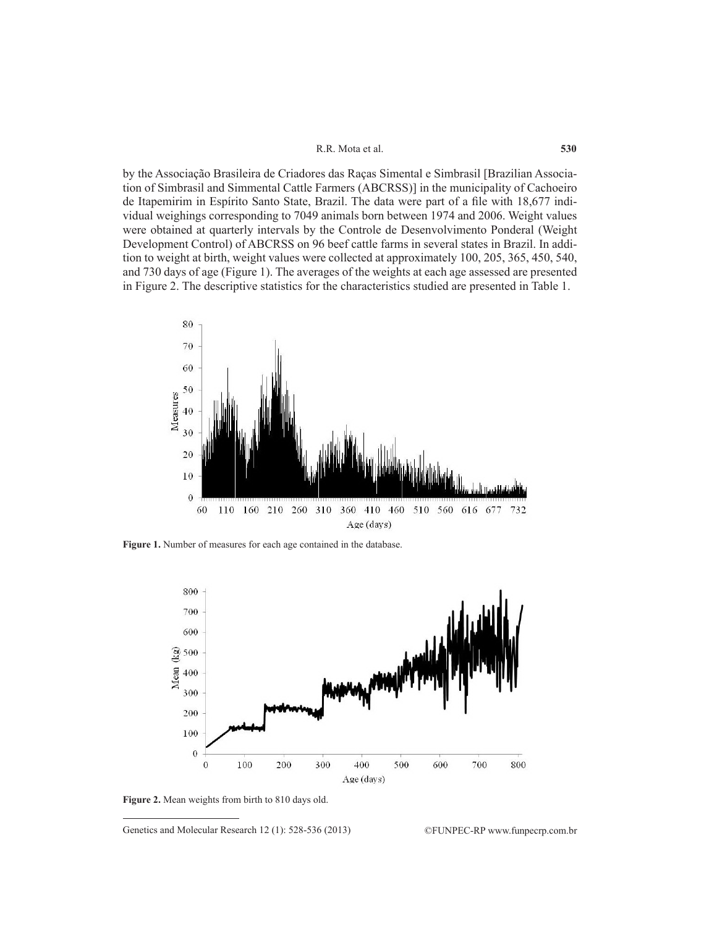#### R.R. Mota et al.

by the Associação Brasileira de Criadores das Raças Simental e Simbrasil [Brazilian Association of Simbrasil and Simmental Cattle Farmers (ABCRSS)] in the municipality of Cachoeiro de Itapemirim in Espírito Santo State, Brazil. The data were part of a file with 18,677 individual weighings corresponding to 7049 animals born between 1974 and 2006. Weight values were obtained at quarterly intervals by the Controle de Desenvolvimento Ponderal (Weight Development Control) of ABCRSS on 96 beef cattle farms in several states in Brazil. In addition to weight at birth, weight values were collected at approximately 100, 205, 365, 450, 540, and 730 days of age (Figure 1). The averages of the weights at each age assessed are presented in Figure 2. The descriptive statistics for the characteristics studied are presented in Table 1.



**Figure 1.** Number of measures for each age contained in the database.



**Figure 2.** Mean weights from birth to 810 days old.

Genetics and Molecular Research 12 (1): 528-536 (2013) ©FUNPEC-RP www.funpecrp.com.br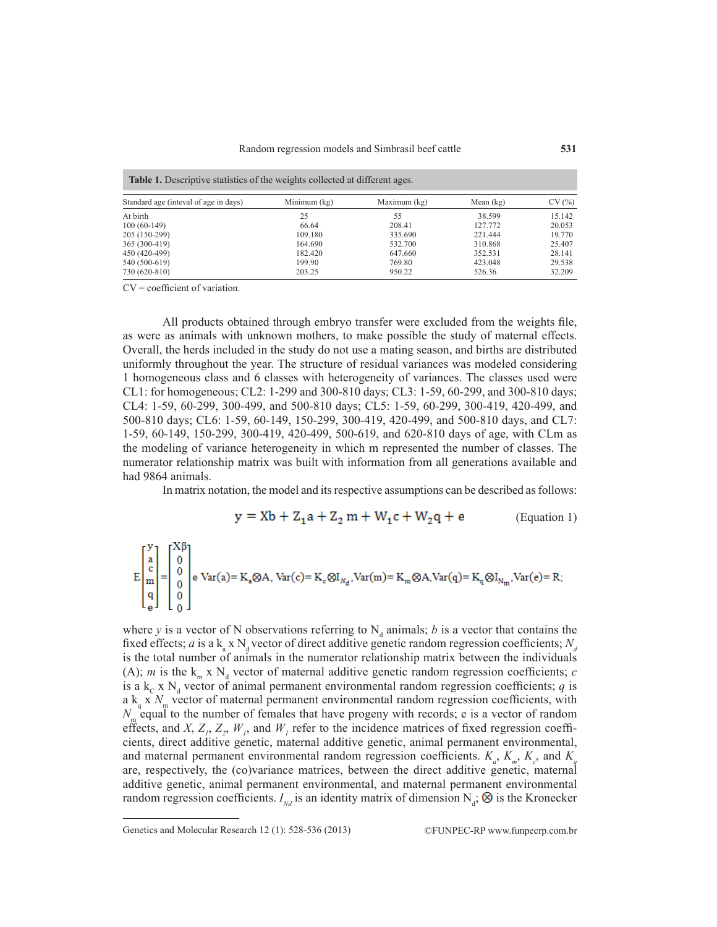| <b>Table 1.</b> Descriptive statistics of the weights collected at different ages. |                |              |             |        |  |  |  |  |
|------------------------------------------------------------------------------------|----------------|--------------|-------------|--------|--|--|--|--|
| Standard age (inteval of age in days)                                              | Minimum $(kg)$ | Maximum (kg) | Mean $(kg)$ | CV(%)  |  |  |  |  |
| At birth                                                                           | 25             | 55           | 38.599      | 15.142 |  |  |  |  |
| $100(60-149)$                                                                      | 66.64          | 208.41       | 127.772     | 20.053 |  |  |  |  |
| 205 (150-299)                                                                      | 109.180        | 335.690      | 221.444     | 19.770 |  |  |  |  |
| 365 (300-419)                                                                      | 164.690        | 532.700      | 310.868     | 25.407 |  |  |  |  |
| 450 (420-499)                                                                      | 182.420        | 647.660      | 352.531     | 28.141 |  |  |  |  |
| 540 (500-619)                                                                      | 199.90         | 769.80       | 423.048     | 29.538 |  |  |  |  |
| 730 (620-810)                                                                      | 203.25         | 950.22       | 526.36      | 32.209 |  |  |  |  |

 $CV = coefficient of variation.$ 

All products obtained through embryo transfer were excluded from the weights file, as were as animals with unknown mothers, to make possible the study of maternal effects. Overall, the herds included in the study do not use a mating season, and births are distributed uniformly throughout the year. The structure of residual variances was modeled considering 1 homogeneous class and 6 classes with heterogeneity of variances. The classes used were CL1: for homogeneous; CL2: 1-299 and 300-810 days; CL3: 1-59, 60-299, and 300-810 days; CL4: 1-59, 60-299, 300-499, and 500-810 days; CL5: 1-59, 60-299, 300-419, 420-499, and 500-810 days; CL6: 1-59, 60-149, 150-299, 300-419, 420-499, and 500-810 days, and CL7: 1-59, 60-149, 150-299, 300-419, 420-499, 500-619, and 620-810 days of age, with CLm as the modeling of variance heterogeneity in which m represented the number of classes. The numerator relationship matrix was built with information from all generations available and had 9864 animals.

In matrix notation, the model and its respective assumptions can be described as follows:

$$
y = Xb + Z_1a + Z_2m + W_1c + W_2q + e
$$
 (Equation 1)

$$
E\begin{bmatrix}y\\ a\\ c\\ q\\ q\\ 0\end{bmatrix}=\begin{bmatrix}X\beta\\ 0\\ 0\\ 0\\ 0\end{bmatrix}\hspace{-0.5cm}e\text{Var}(a)\hspace{-0.5cm}=K_a\hspace{-0.5cm}\otimes\hspace{-0.5cm} A\,,\text{Var}(c)\hspace{-0.5cm}=K_c\hspace{-0.5cm}\otimes\hspace{-0.5cm} I_{N_d},\text{Var}(m)\hspace{-0.5cm}=K_m\hspace{-0.5cm}\otimes\hspace{-0.5cm} A\hspace{-0.5cm},\text{Var}(q)\hspace{-0.5cm}=K_q\hspace{-0.5cm}\otimes\hspace{-0.5cm} I_{N_m},\text{Var}(e)\hspace{-0.5cm}=R;
$$

where *y* is a vector of N observations referring to  $N_d$  animals; *b* is a vector that contains the fixed effects; *a* is a  $k_a$  x  $N_d$  vector of direct additive genetic random regression coefficients;  $N_d$ is the total number of animals in the numerator relationship matrix between the individuals (A); *m* is the  $k_{m} \times N_{d}$  vector of maternal additive genetic random regression coefficients; *c* is a  $k_c$  x  $N_d$  vector of animal permanent environmental random regression coefficients; *q* is a  $k_q$  x  $N_m$  vector of maternal permanent environmental random regression coefficients, with  $N_{\rm m}$  equal to the number of females that have progeny with records; e is a vector of random effects, and *X*,  $Z_1$ ,  $Z_2$ ,  $W_1$ , and  $W_1$  refer to the incidence matrices of fixed regression coefficients, direct additive genetic, maternal additive genetic, animal permanent environmental, and maternal permanent environmental random regression coefficients.  $K_a$ ,  $K_{m}$ ,  $K_c$ , and  $K_q$ are, respectively, the (co)variance matrices, between the direct additive genetic, maternal additive genetic, animal permanent environmental, and maternal permanent environmental random regression coefficients.  $I_{Nd}$  is an identity matrix of dimension  $N_d$ ;  $\otimes$  is the Kronecker

Genetics and Molecular Research 12 (1): 528-536 (2013) ©FUNPEC-RP www.funpecrp.com.br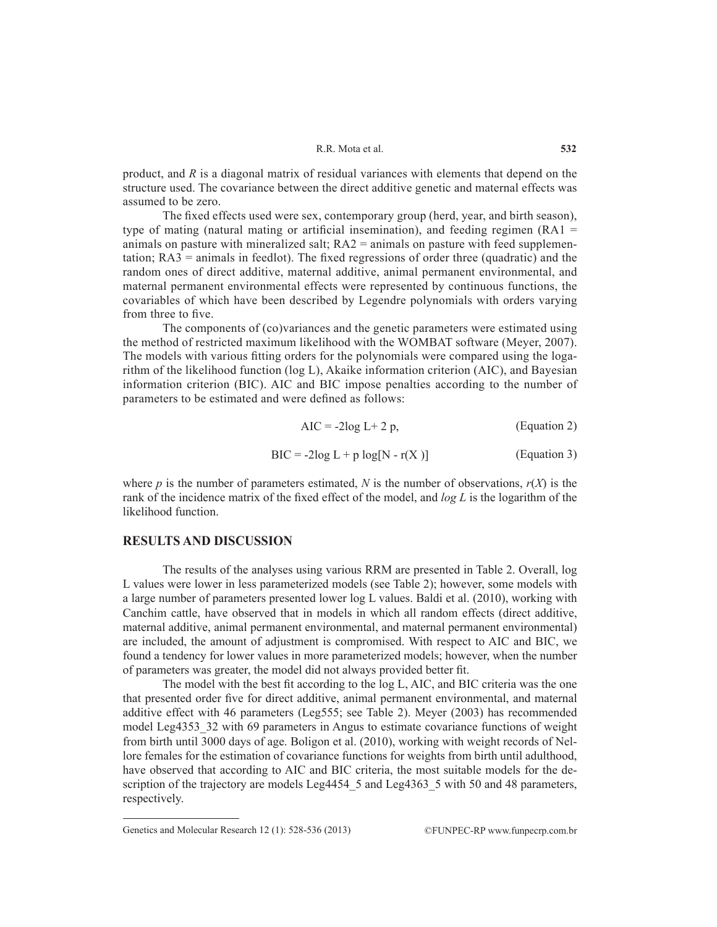#### R.R. Mota et al.

product, and *R* is a diagonal matrix of residual variances with elements that depend on the structure used. The covariance between the direct additive genetic and maternal effects was assumed to be zero.

The fixed effects used were sex, contemporary group (herd, year, and birth season), type of mating (natural mating or artificial insemination), and feeding regimen  $(RA1 =$ animals on pasture with mineralized salt;  $RA2 =$  animals on pasture with feed supplementation;  $RA3$  = animals in feedlot). The fixed regressions of order three (quadratic) and the random ones of direct additive, maternal additive, animal permanent environmental, and maternal permanent environmental effects were represented by continuous functions, the covariables of which have been described by Legendre polynomials with orders varying from three to five.

The components of (co)variances and the genetic parameters were estimated using the method of restricted maximum likelihood with the WOMBAT software (Meyer, 2007). The models with various fitting orders for the polynomials were compared using the logarithm of the likelihood function (log L), Akaike information criterion (AIC), and Bayesian information criterion (BIC). AIC and BIC impose penalties according to the number of parameters to be estimated and were defined as follows:

$$
AIC = -2log L + 2 p, \qquad (Equation 2)
$$

$$
BIC = -2\log L + p \log[N - r(X)] \tag{Equation 3}
$$

where *p* is the number of parameters estimated, *N* is the number of observations,  $r(X)$  is the rank of the incidence matrix of the fixed effect of the model, and *log L* is the logarithm of the likelihood function.

## **RESULTS AND DISCUSSION**

The results of the analyses using various RRM are presented in Table 2. Overall, log L values were lower in less parameterized models (see Table 2); however, some models with a large number of parameters presented lower log L values. Baldi et al. (2010), working with Canchim cattle, have observed that in models in which all random effects (direct additive, maternal additive, animal permanent environmental, and maternal permanent environmental) are included, the amount of adjustment is compromised. With respect to AIC and BIC, we found a tendency for lower values in more parameterized models; however, when the number of parameters was greater, the model did not always provided better fit.

The model with the best fit according to the log L, AIC, and BIC criteria was the one that presented order five for direct additive, animal permanent environmental, and maternal additive effect with 46 parameters (Leg555; see Table 2). Meyer (2003) has recommended model Leg4353\_32 with 69 parameters in Angus to estimate covariance functions of weight from birth until 3000 days of age. Boligon et al. (2010), working with weight records of Nellore females for the estimation of covariance functions for weights from birth until adulthood, have observed that according to AIC and BIC criteria, the most suitable models for the description of the trajectory are models Leg4454\_5 and Leg4363\_5 with 50 and 48 parameters, respectively.

Genetics and Molecular Research 12 (1): 528-536 (2013) ©FUNPEC-RP www.funpecrp.com.br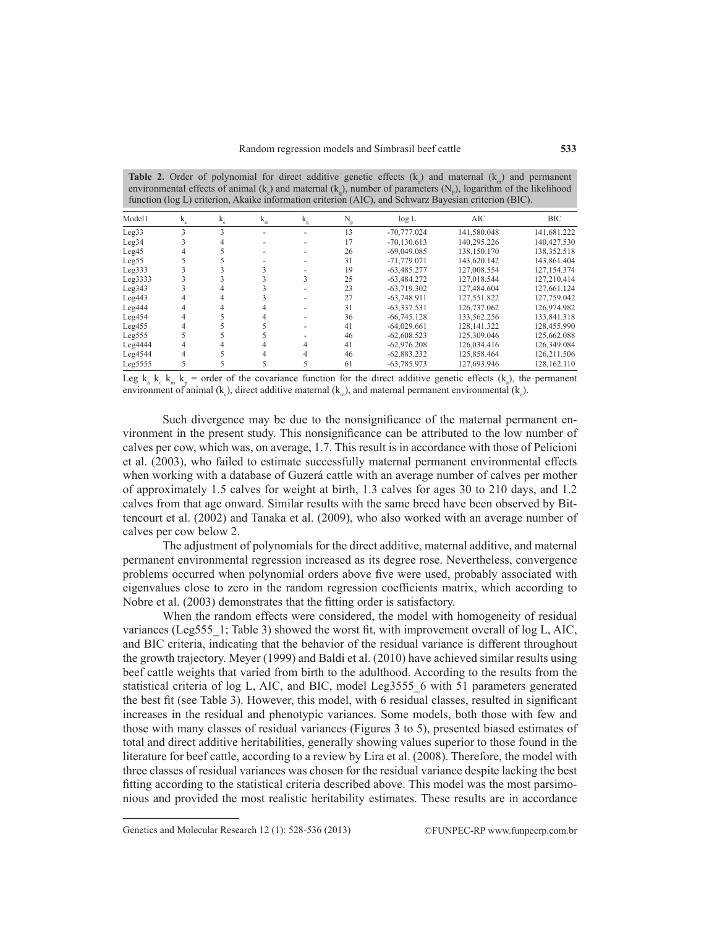**Table 2.** Order of polynomial for direct additive genetic effects  $(k_a)$  and maternal  $(k_m)$  and permanent environmental effects of animal  $(k_{c})$  and maternal  $(k_{q})$ , number of parameters  $(N_{p})$ , logarithm of the likelihood function (log L) criterion, Akaike information criterion (AIC), and Schwarz Bayesian criterion (BIC).

| Model1             | k | $k_{c}$ | $\mathbf{k}_{\rm m}$ | k | N  | log L         | AIC         | <b>BIC</b>  |
|--------------------|---|---------|----------------------|---|----|---------------|-------------|-------------|
| Leg33              |   |         | ۰                    |   | 13 | $-70,777.024$ | 141,580.048 | 141,681.222 |
| Leg34              |   |         |                      |   | 17 | $-70.130.613$ | 140.295.226 | 140.427.530 |
| Leg45              |   |         |                      |   | 26 | $-69,049.085$ | 138,150.170 | 138,352.518 |
| Leg55              |   |         |                      |   | 31 | $-71,779.071$ | 143,620.142 | 143,861.404 |
| Leg333             |   |         |                      |   | 19 | $-63.485.277$ | 127.008.554 | 127.154.374 |
| Leg3333            |   |         |                      |   | 25 | $-63.484.272$ | 127.018.544 | 127.210.414 |
| Leg343             |   |         |                      |   | 23 | $-63.719.302$ | 127.484.604 | 127.661.124 |
| Leg443             |   |         |                      |   | 27 | $-63.748.911$ | 127.551.822 | 127.759.042 |
| Leg444             |   |         |                      |   | 31 | $-63,337.531$ | 126.737.062 | 126,974.982 |
| Leg <sub>454</sub> |   |         |                      |   | 36 | $-66,745.128$ | 133,562.256 | 133,841.318 |
| Leg <sub>455</sub> |   |         |                      |   | 41 | $-64.029.661$ | 128.141.322 | 128.455.990 |
| Leg <sub>555</sub> |   |         |                      |   | 46 | $-62,608,523$ | 125.309.046 | 125,662,088 |
| Leg4444            |   |         |                      |   | 41 | $-62.976.208$ | 126.034.416 | 126.349.084 |
| Leg4544            |   |         |                      |   | 46 | $-62,883.232$ | 125,858.464 | 126,211.506 |
| Leg5555            |   |         |                      |   | 61 | $-63,785.973$ | 127.693.946 | 128.162.110 |

Leg  $k_a$   $k_c$   $k_m$   $k_p$  = order of the covariance function for the direct additive genetic effects  $(k_a)$ , the permanent environment of animal (k<sub>c</sub>), direct additive maternal (k<sub>m</sub>), and maternal permanent environmental (k<sub>q</sub>).

Such divergence may be due to the nonsignificance of the maternal permanent environment in the present study. This nonsignificance can be attributed to the low number of calves per cow, which was, on average, 1.7. This result is in accordance with those of Pelicioni et al. (2003), who failed to estimate successfully maternal permanent environmental effects when working with a database of Guzerá cattle with an average number of calves per mother of approximately 1.5 calves for weight at birth, 1.3 calves for ages 30 to 210 days, and 1.2 calves from that age onward. Similar results with the same breed have been observed by Bittencourt et al. (2002) and Tanaka et al. (2009), who also worked with an average number of calves per cow below 2.

The adjustment of polynomials for the direct additive, maternal additive, and maternal permanent environmental regression increased as its degree rose. Nevertheless, convergence problems occurred when polynomial orders above five were used, probably associated with eigenvalues close to zero in the random regression coefficients matrix, which according to Nobre et al. (2003) demonstrates that the fitting order is satisfactory.

When the random effects were considered, the model with homogeneity of residual variances (Leg555\_1; Table 3) showed the worst fit, with improvement overall of log L, AIC, and BIC criteria, indicating that the behavior of the residual variance is different throughout the growth trajectory. Meyer (1999) and Baldi et al. (2010) have achieved similar results using beef cattle weights that varied from birth to the adulthood. According to the results from the statistical criteria of log L, AIC, and BIC, model Leg3555 6 with 51 parameters generated the best fit (see Table 3). However, this model, with 6 residual classes, resulted in significant increases in the residual and phenotypic variances. Some models, both those with few and those with many classes of residual variances (Figures 3 to 5), presented biased estimates of total and direct additive heritabilities, generally showing values superior to those found in the literature for beef cattle, according to a review by Lira et al. (2008). Therefore, the model with three classes of residual variances was chosen for the residual variance despite lacking the best fitting according to the statistical criteria described above. This model was the most parsimonious and provided the most realistic heritability estimates. These results are in accordance

Genetics and Molecular Research 12 (1): 528-536 (2013) ©FUNPEC-RP www.funpecrp.com.br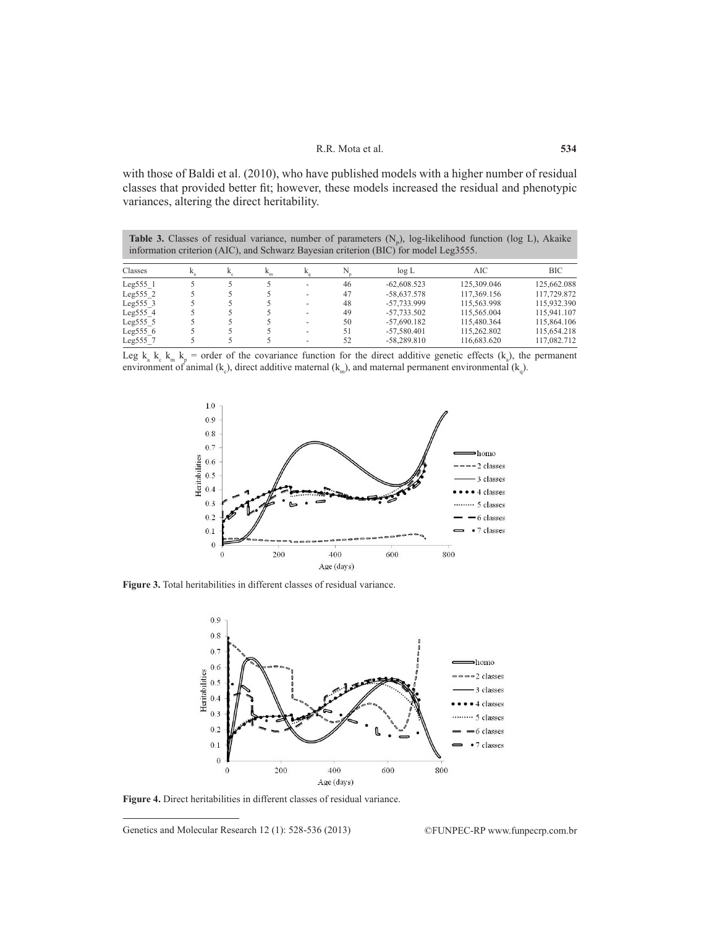with those of Baldi et al. (2010), who have published models with a higher number of residual classes that provided better fit; however, these models increased the residual and phenotypic variances, altering the direct heritability.

**Table 3.** Classes of residual variance, number of parameters  $(N_p)$ , log-likelihood function (log L), Akaike information criterion (AIC), and Schwarz Bayesian criterion (BIC) for model Leg3555.

| Classes      |  | 'n |                          |    | $\log L$      | AIC         | <b>BIC</b>  |
|--------------|--|----|--------------------------|----|---------------|-------------|-------------|
| Leg555 1     |  |    | -                        | 46 | $-62,608,523$ | 125.309.046 | 125.662.088 |
| Leg5552      |  |    | $\overline{\phantom{a}}$ | 47 | $-58.637.578$ | 117.369.156 | 117,729.872 |
| Leg $555$ 3  |  |    | ٠                        | 48 | -57.733.999   | 115.563.998 | 115.932.390 |
| Leg5554      |  |    | -                        | 49 | $-57.733.502$ | 115,565,004 | 115.941.107 |
| Leg $555\,5$ |  |    | ٠                        | 50 | $-57.690.182$ | 115.480.364 | 115,864,106 |
| Leg $5556$   |  |    | $\overline{\phantom{a}}$ | 51 | $-57,580,401$ | 115.262.802 | 115.654.218 |
| Leg555 7     |  |    | ٠                        | 52 | $-58.289.810$ | 116.683.620 | 117.082.712 |

Leg  $k_a$   $k_c$   $k_m$   $k_p$  = order of the covariance function for the direct additive genetic effects  $(k_a)$ , the permanent environment of animal (k<sub>c</sub>), direct additive maternal (k<sub>m</sub>), and maternal permanent environmental (k<sub>q</sub>).



**Figure 3.** Total heritabilities in different classes of residual variance.



**Figure 4.** Direct heritabilities in different classes of residual variance.

Genetics and Molecular Research 12 (1): 528-536 (2013) ©FUNPEC-RP www.funpecrp.com.br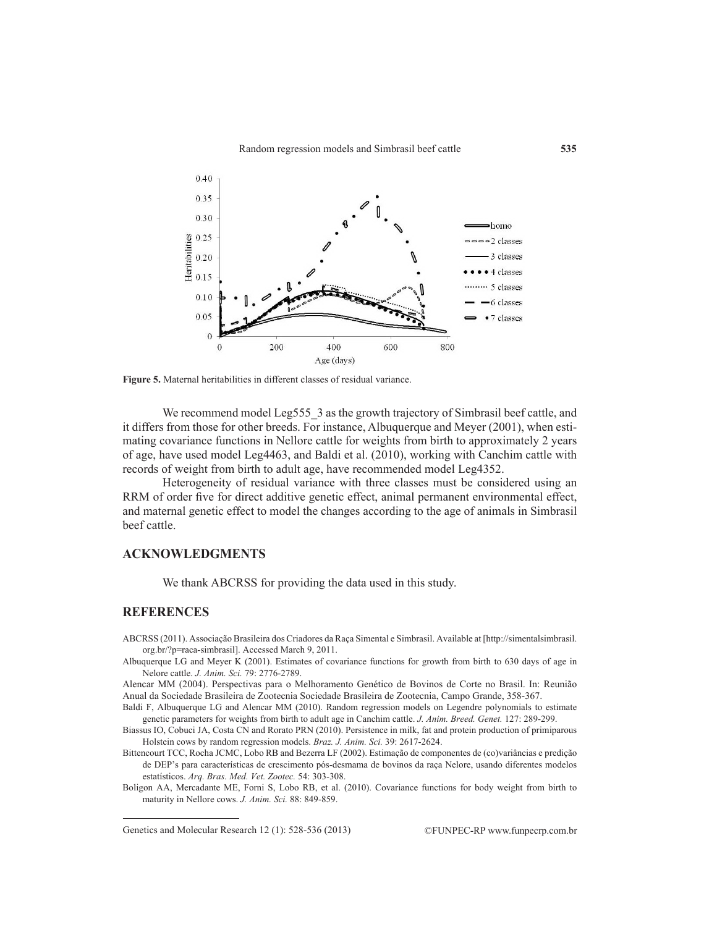

**Figure 5.** Maternal heritabilities in different classes of residual variance.

We recommend model Leg555 3 as the growth trajectory of Simbrasil beef cattle, and it differs from those for other breeds. For instance, Albuquerque and Meyer (2001), when estimating covariance functions in Nellore cattle for weights from birth to approximately 2 years of age, have used model Leg4463, and Baldi et al. (2010), working with Canchim cattle with records of weight from birth to adult age, have recommended model Leg4352.

Heterogeneity of residual variance with three classes must be considered using an RRM of order five for direct additive genetic effect, animal permanent environmental effect, and maternal genetic effect to model the changes according to the age of animals in Simbrasil beef cattle.

## **ACKNOWLEDGMENTS**

We thank ABCRSS for providing the data used in this study.

#### **REFERENCES**

ABCRSS (2011). Associação Brasileira dos Criadores da Raça Simental e Simbrasil. Available at [http://simentalsimbrasil. org.br/?p=raca-simbrasil]. Accessed March 9, 2011.

Albuquerque LG and Meyer K (2001). Estimates of covariance functions for growth from birth to 630 days of age in Nelore cattle. *J. Anim. Sci.* 79: 2776-2789.

Alencar MM (2004). Perspectivas para o Melhoramento Genético de Bovinos de Corte no Brasil. In: Reunião Anual da Sociedade Brasileira de Zootecnia Sociedade Brasileira de Zootecnia, Campo Grande, 358-367.

Baldi F, Albuquerque LG and Alencar MM (2010). Random regression models on Legendre polynomials to estimate genetic parameters for weights from birth to adult age in Canchim cattle. *J. Anim. Breed. Genet.* 127: 289-299.

Biassus IO, Cobuci JA, Costa CN and Rorato PRN (2010). Persistence in milk, fat and protein production of primiparous Holstein cows by random regression models. *Braz. J. Anim. Sci.* 39: 2617-2624.

Bittencourt TCC, Rocha JCMC, Lobo RB and Bezerra LF (2002). Estimação de componentes de (co)variâncias e predição de DEP's para características de crescimento pós-desmama de bovinos da raça Nelore, usando diferentes modelos estatísticos. *Arq. Bras. Med. Vet. Zootec.* 54: 303-308.

Boligon AA, Mercadante ME, Forni S, Lobo RB, et al. (2010). Covariance functions for body weight from birth to maturity in Nellore cows. *J. Anim. Sci.* 88: 849-859.

Genetics and Molecular Research 12 (1): 528-536 (2013) ©FUNPEC-RP www.funpecrp.com.br